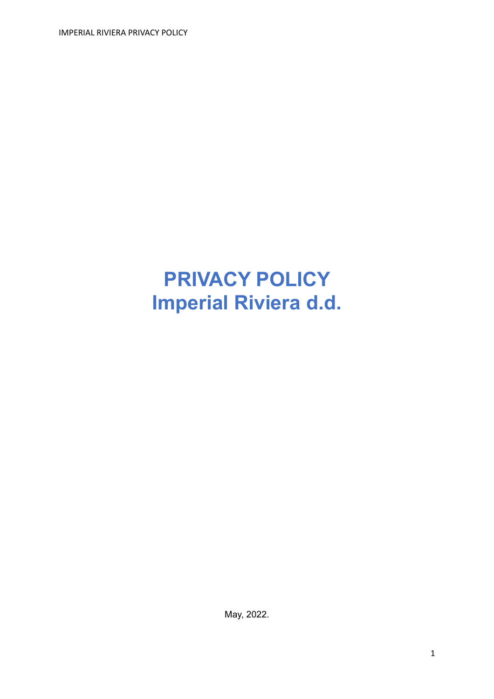IMPERIAL RIVIERA PRIVACY POLICY

# **PRIVACY POLICY Imperial Riviera d.d.**

May, 2022.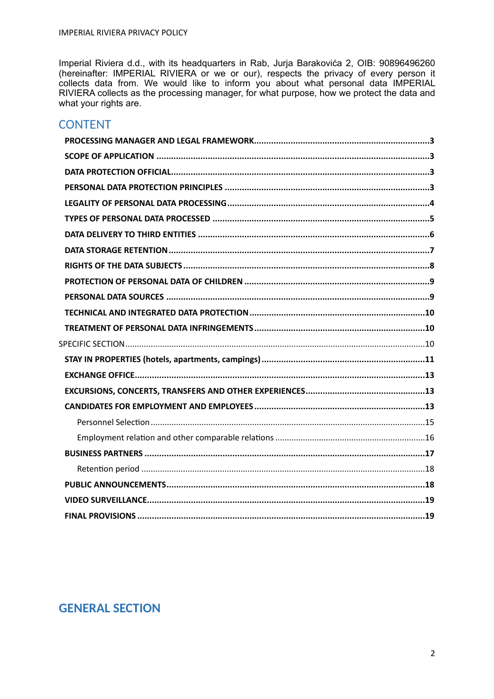Imperial Riviera d.d., with its headquarters in Rab, Jurja Barakovića 2, OIB: 90896496260 (hereinafter: IMPERIAL RIVIERA or we or our), respects the privacy of every person it collects data from. We would like to inform you about what personal data IMPERIAL RIVIERA collects as the processing manager, for what purpose, how we protect the data and what your rights are.

### **CONTENT**

# **GENERAL SECTION**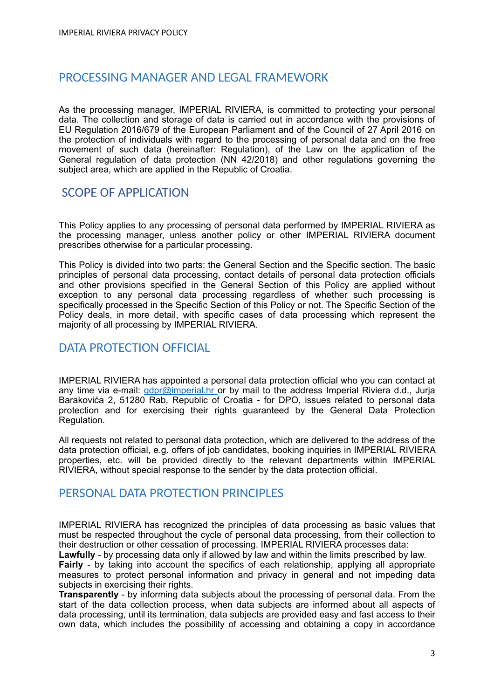# <span id="page-2-0"></span>PROCESSING MANAGER AND LEGAL FRAMEWORK

As the processing manager, IMPERIAL RIVIERA, is committed to protecting your personal data. The collection and storage of data is carried out in accordance with the provisions of EU Regulation 2016/679 of the European Parliament and of the Council of 27 April 2016 on the protection of individuals with regard to the processing of personal data and on the free movement of such data (hereinafter: Regulation), of the Law on the application of the General regulation of data protection (NN 42/2018) and other regulations governing the subject area, which are applied in the Republic of Croatia.

#### <span id="page-2-1"></span>SCOPE OF APPLICATION

This Policy applies to any processing of personal data performed by IMPERIAL RIVIERA as the processing manager, unless another policy or other IMPERIAL RIVIERA document prescribes otherwise for a particular processing.

This Policy is divided into two parts: the General Section and the Specific section. The basic principles of personal data processing, contact details of personal data protection officials and other provisions specified in the General Section of this Policy are applied without exception to any personal data processing regardless of whether such processing is specifically processed in the Specific Section of this Policy or not. The Specific Section of the Policy deals, in more detail, with specific cases of data processing which represent the majority of all processing by IMPERIAL RIVIERA.

### <span id="page-2-2"></span>DATA PROTECTION OFFICIAL

IMPERIAL RIVIERA has appointed a personal data protection official who you can contact at any time via e-mail: [gdpr@imperial.hr](mailto:gdpr@imperial.hr) or by mail to the address Imperial Riviera d.d., Jurja Barakovića 2, 51280 Rab, Republic of Croatia - for DPO, issues related to personal data protection and for exercising their rights guaranteed by the General Data Protection Regulation.

All requests not related to personal data protection, which are delivered to the address of the data protection official, e.g. offers of job candidates, booking inquiries in IMPERIAL RIVIERA properties, etc. will be provided directly to the relevant departments within IMPERIAL RIVIERA, without special response to the sender by the data protection official.

#### <span id="page-2-3"></span>PERSONAL DATA PROTECTION PRINCIPLES

IMPERIAL RIVIERA has recognized the principles of data processing as basic values that must be respected throughout the cycle of personal data processing, from their collection to their destruction or other cessation of processing. IMPERIAL RIVIERA processes data:

**Lawfully** - by processing data only if allowed by law and within the limits prescribed by law.

**Fairly** - by taking into account the specifics of each relationship, applying all appropriate measures to protect personal information and privacy in general and not impeding data subjects in exercising their rights.

**Transparently** - by informing data subjects about the processing of personal data. From the start of the data collection process, when data subjects are informed about all aspects of data processing, until its termination, data subjects are provided easy and fast access to their own data, which includes the possibility of accessing and obtaining a copy in accordance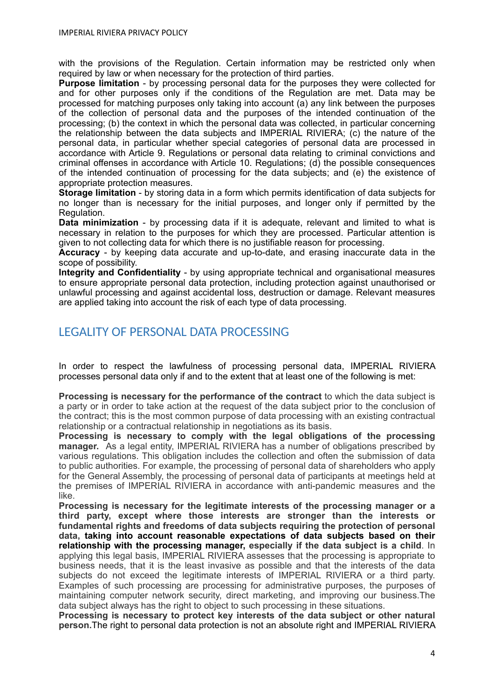with the provisions of the Regulation. Certain information may be restricted only when required by law or when necessary for the protection of third parties.

**Purpose limitation** - by processing personal data for the purposes they were collected for and for other purposes only if the conditions of the Regulation are met. Data may be processed for matching purposes only taking into account (a) any link between the purposes of the collection of personal data and the purposes of the intended continuation of the processing; (b) the context in which the personal data was collected, in particular concerning the relationship between the data subjects and IMPERIAL RIVIERA; (c) the nature of the personal data, in particular whether special categories of personal data are processed in accordance with Article 9. Regulations or personal data relating to criminal convictions and criminal offenses in accordance with Article 10. Regulations; (d) the possible consequences of the intended continuation of processing for the data subjects; and (e) the existence of appropriate protection measures.

**Storage limitation** - by storing data in a form which permits identification of data subjects for no longer than is necessary for the initial purposes, and longer only if permitted by the Regulation.

**Data minimization** - by processing data if it is adequate, relevant and limited to what is necessary in relation to the purposes for which they are processed. Particular attention is given to not collecting data for which there is no justifiable reason for processing.

**Accuracy** - by keeping data accurate and up-to-date, and erasing inaccurate data in the scope of possibility.

**Integrity and Confidentiality** - by using appropriate technical and organisational measures to ensure appropriate personal data protection, including protection against unauthorised or unlawful processing and against accidental loss, destruction or damage. Relevant measures are applied taking into account the risk of each type of data processing.

## <span id="page-3-0"></span>LEGALITY OF PERSONAL DATA PROCESSING

In order to respect the lawfulness of processing personal data, IMPERIAL RIVIERA processes personal data only if and to the extent that at least one of the following is met:

**Processing is necessary for the performance of the contract** to which the data subject is a party or in order to take action at the request of the data subject prior to the conclusion of the contract; this is the most common purpose of data processing with an existing contractual relationship or a contractual relationship in negotiations as its basis.

**Processing is necessary to comply with the legal obligations of the processing manager.** As a legal entity, IMPERIAL RIVIERA has a number of obligations prescribed by various regulations. This obligation includes the collection and often the submission of data to public authorities. For example, the processing of personal data of shareholders who apply for the General Assembly, the processing of personal data of participants at meetings held at the premises of IMPERIAL RIVIERA in accordance with anti-pandemic measures and the like.

**Processing is necessary for the legitimate interests of the processing manager or a third party, except where those interests are stronger than the interests or fundamental rights and freedoms of data subjects requiring the protection of personal data, taking into account reasonable expectations of data subjects based on their relationship with the processing manager, especially if the data subject is a child**. In applying this legal basis, IMPERIAL RIVIERA assesses that the processing is appropriate to business needs, that it is the least invasive as possible and that the interests of the data subjects do not exceed the legitimate interests of IMPERIAL RIVIERA or a third party. Examples of such processing are processing for administrative purposes, the purposes of maintaining computer network security, direct marketing, and improving our business.The data subject always has the right to object to such processing in these situations.

**Processing is necessary to protect key interests of the data subject or other natural person.**The right to personal data protection is not an absolute right and IMPERIAL RIVIERA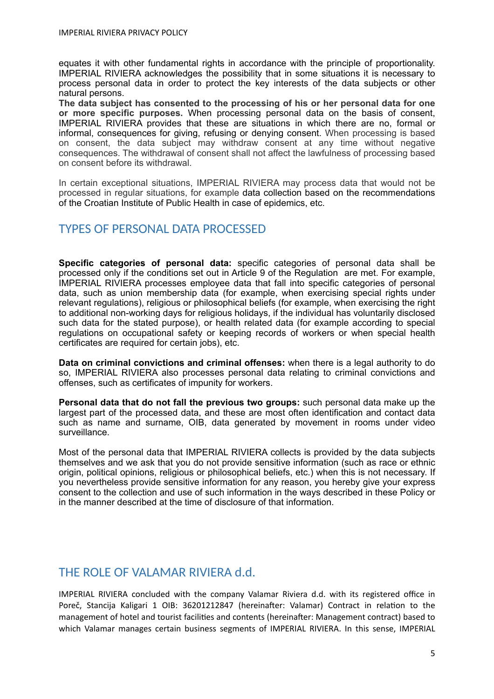equates it with other fundamental rights in accordance with the principle of proportionality. IMPERIAL RIVIERA acknowledges the possibility that in some situations it is necessary to process personal data in order to protect the key interests of the data subjects or other natural persons.

**The data subject has consented to the processing of his or her personal data for one or more specific purposes.** When processing personal data on the basis of consent, IMPERIAL RIVIERA provides that these are situations in which there are no, formal or informal, consequences for giving, refusing or denying consent. When processing is based on consent, the data subject may withdraw consent at any time without negative consequences. The withdrawal of consent shall not affect the lawfulness of processing based on consent before its withdrawal.

In certain exceptional situations, IMPERIAL RIVIERA may process data that would not be processed in regular situations, for example data collection based on the recommendations of the Croatian Institute of Public Health in case of epidemics, etc.

## <span id="page-4-0"></span>TYPES OF PERSONAL DATA PROCESSED

**Specific categories of personal data:** specific categories of personal data shall be processed only if the conditions set out in Article 9 of the Regulation are met. For example, IMPERIAL RIVIERA processes employee data that fall into specific categories of personal data, such as union membership data (for example, when exercising special rights under relevant regulations), religious or philosophical beliefs (for example, when exercising the right to additional non-working days for religious holidays, if the individual has voluntarily disclosed such data for the stated purpose), or health related data (for example according to special regulations on occupational safety or keeping records of workers or when special health certificates are required for certain jobs), etc.

**Data on criminal convictions and criminal offenses:** when there is a legal authority to do so, IMPERIAL RIVIERA also processes personal data relating to criminal convictions and offenses, such as certificates of impunity for workers.

**Personal data that do not fall the previous two groups:** such personal data make up the largest part of the processed data, and these are most often identification and contact data such as name and surname, OIB, data generated by movement in rooms under video surveillance.

Most of the personal data that IMPERIAL RIVIERA collects is provided by the data subjects themselves and we ask that you do not provide sensitive information (such as race or ethnic origin, political opinions, religious or philosophical beliefs, etc.) when this is not necessary. If you nevertheless provide sensitive information for any reason, you hereby give your express consent to the collection and use of such information in the ways described in these Policy or in the manner described at the time of disclosure of that information.

# THE ROLE OF VALAMAR RIVIERA d.d.

IMPERIAL RIVIERA concluded with the company Valamar Riviera d.d. with its registered office in Poreč, Stancija Kaligari 1 OIB: 36201212847 (hereinafter: Valamar) Contract in relation to the management of hotel and tourist facilities and contents (hereinafter: Management contract) based to which Valamar manages certain business segments of IMPERIAL RIVIERA. In this sense, IMPERIAL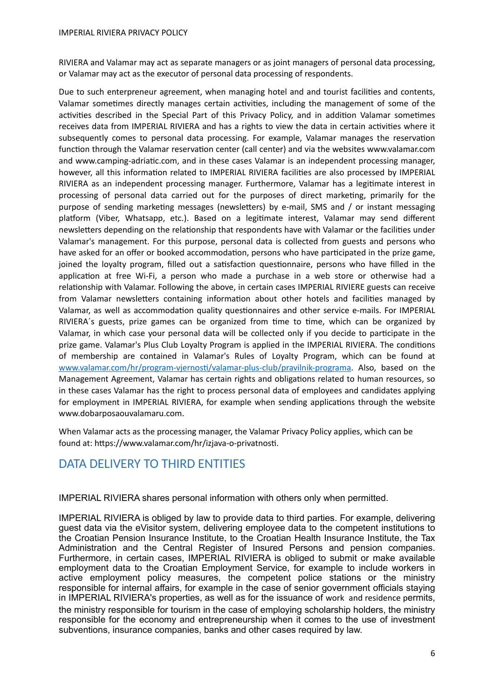RIVIERA and Valamar may act as separate managers or as joint managers of personal data processing, or Valamar may act as the executor of personal data processing of respondents.

Due to such enterpreneur agreement, when managing hotel and and tourist facilities and contents, Valamar sometimes directly manages certain activities, including the management of some of the activities described in the Special Part of this Privacy Policy, and in addition Valamar sometimes receives data from IMPERIAL RIVIERA and has a rights to view the data in certain activities where it subsequently comes to personal data processing. For example, Valamar manages the reservation function through the Valamar reservation center (call center) and via the websites www.valamar.com and www.camping-adriatic.com, and in these cases Valamar is an independent processing manager, however, all this information related to IMPERIAL RIVIERA facilities are also processed by IMPERIAL RIVIERA as an independent processing manager. Furthermore, Valamar has a legitimate interest in processing of personal data carried out for the purposes of direct marketing, primarily for the purpose of sending marketing messages (newsletters) by e-mail, SMS and / or instant messaging platform (Viber, Whatsapp, etc.). Based on a legitimate interest, Valamar may send different newsletters depending on the relationship that respondents have with Valamar or the facilities under Valamar's management. For this purpose, personal data is collected from guests and persons who have asked for an offer or booked accommodation, persons who have participated in the prize game, joined the loyalty program, filled out a satisfaction questionnaire, persons who have filled in the application at free Wi-Fi, a person who made a purchase in a web store or otherwise had a relationship with Valamar. Following the above, in certain cases IMPERIAL RIVIERE guests can receive from Valamar newsletters containing information about other hotels and facilities managed by Valamar, as well as accommodation quality questionnaires and other service e-mails. For IMPERIAL RIVIERA´s guests, prize games can be organized from time to time, which can be organized by Valamar, in which case your personal data will be collected only if you decide to participate in the prize game. Valamar's Plus Club Loyalty Program is applied in the IMPERIAL RIVIERA. The conditions of membership are contained in Valamar's Rules of Loyalty Program, which can be found at [www.valamar.com/hr/program-vjernosti/valamar-plus-club/pravilnik-programa.](http://www.valamar.com/hr/program-vjernosti/valamar-plus-club/pravilnik-programa) Also, based on the Management Agreement, Valamar has certain rights and obligations related to human resources, so in these cases Valamar has the right to process personal data of employees and candidates applying for employment in IMPERIAL RIVIERA, for example when sending applications through the website www.dobarposaouvalamaru.com.

When Valamar acts as the processing manager, the Valamar Privacy Policy applies, which can be found at: https://www.valamar.com/hr/izjava-o-privatnosti.

#### <span id="page-5-0"></span>DATA DELIVERY TO THIRD ENTITIES

IMPERIAL RIVIERA shares personal information with others only when permitted.

IMPERIAL RIVIERA is obliged by law to provide data to third parties. For example, delivering guest data via the eVisitor system, delivering employee data to the competent institutions to the Croatian Pension Insurance Institute, to the Croatian Health Insurance Institute, the Tax Administration and the Central Register of Insured Persons and pension companies. Furthermore, in certain cases, IMPERIAL RIVIERA is obliged to submit or make available employment data to the Croatian Employment Service, for example to include workers in active employment policy measures, the competent police stations or the ministry responsible for internal affairs, for example in the case of senior government officials staying in IMPERIAL RIVIERA's properties, as well as for the issuance of work and residence permits, the ministry responsible for tourism in the case of employing scholarship holders, the ministry responsible for the economy and entrepreneurship when it comes to the use of investment subventions, insurance companies, banks and other cases required by law.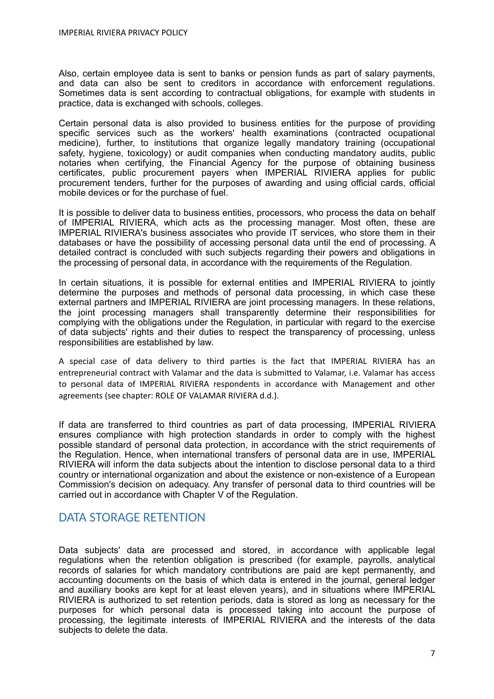Also, certain employee data is sent to banks or pension funds as part of salary payments, and data can also be sent to creditors in accordance with enforcement regulations. Sometimes data is sent according to contractual obligations, for example with students in practice, data is exchanged with schools, colleges.

Certain personal data is also provided to business entities for the purpose of providing specific services such as the workers' health examinations (contracted ocupational medicine), further, to institutions that organize legally mandatory training (occupational safety, hygiene, toxicology) or audit companies when conducting mandatory audits, public notaries when certifying, the Financial Agency for the purpose of obtaining business certificates, public procurement payers when IMPERIAL RIVIERA applies for public procurement tenders, further for the purposes of awarding and using official cards, official mobile devices or for the purchase of fuel.

It is possible to deliver data to business entities, processors, who process the data on behalf of IMPERIAL RIVIERA, which acts as the processing manager. Most often, these are IMPERIAL RIVIERA's business associates who provide IT services, who store them in their databases or have the possibility of accessing personal data until the end of processing. A detailed contract is concluded with such subjects regarding their powers and obligations in the processing of personal data, in accordance with the requirements of the Regulation.

In certain situations, it is possible for external entities and IMPERIAL RIVIERA to jointly determine the purposes and methods of personal data processing, in which case these external partners and IMPERIAL RIVIERA are joint processing managers. In these relations, the joint processing managers shall transparently determine their responsibilities for complying with the obligations under the Regulation, in particular with regard to the exercise of data subjects' rights and their duties to respect the transparency of processing, unless responsibilities are established by law.

A special case of data delivery to third parties is the fact that IMPERIAL RIVIERA has an entrepreneurial contract with Valamar and the data is submitted to Valamar, i.e. Valamar has access to personal data of IMPERIAL RIVIERA respondents in accordance with Management and other agreements (see chapter: ROLE OF VALAMAR RIVIERA d.d.).

If data are transferred to third countries as part of data processing, IMPERIAL RIVIERA ensures compliance with high protection standards in order to comply with the highest possible standard of personal data protection, in accordance with the strict requirements of the Regulation. Hence, when international transfers of personal data are in use, IMPERIAL RIVIERA will inform the data subjects about the intention to disclose personal data to a third country or international organization and about the existence or non-existence of a European Commission's decision on adequacy. Any transfer of personal data to third countries will be carried out in accordance with Chapter V of the Regulation.

#### <span id="page-6-0"></span>DATA STORAGE RETENTION

Data subjects' data are processed and stored, in accordance with applicable legal regulations when the retention obligation is prescribed (for example, payrolls, analytical records of salaries for which mandatory contributions are paid are kept permanently, and accounting documents on the basis of which data is entered in the journal, general ledger and auxiliary books are kept for at least eleven years), and in situations where IMPERIAL RIVIERA is authorized to set retention periods, data is stored as long as necessary for the purposes for which personal data is processed taking into account the purpose of processing, the legitimate interests of IMPERIAL RIVIERA and the interests of the data subjects to delete the data.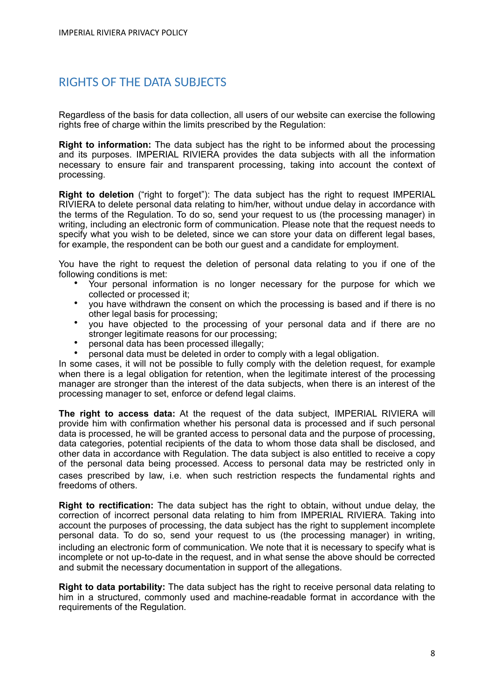# <span id="page-7-0"></span>RIGHTS OF THE DATA SUBJECTS

Regardless of the basis for data collection, all users of our website can exercise the following rights free of charge within the limits prescribed by the Regulation:

**Right to information:** The data subject has the right to be informed about the processing and its purposes. IMPERIAL RIVIERA provides the data subjects with all the information necessary to ensure fair and transparent processing, taking into account the context of processing.

**Right to deletion** ("right to forget"): The data subject has the right to request IMPERIAL RIVIERA to delete personal data relating to him/her, without undue delay in accordance with the terms of the Regulation. To do so, send your request to us (the processing manager) in writing, including an electronic form of communication. Please note that the request needs to specify what you wish to be deleted, since we can store your data on different legal bases, for example, the respondent can be both our guest and a candidate for employment.

You have the right to request the deletion of personal data relating to you if one of the following conditions is met:

- Your personal information is no longer necessary for the purpose for which we collected or processed it;
- you have withdrawn the consent on which the processing is based and if there is no other legal basis for processing;
- you have objected to the processing of your personal data and if there are no stronger legitimate reasons for our processing;
- personal data has been processed illegally;
- personal data must be deleted in order to comply with a legal obligation.

In some cases, it will not be possible to fully comply with the deletion request, for example when there is a legal obligation for retention, when the legitimate interest of the processing manager are stronger than the interest of the data subjects, when there is an interest of the processing manager to set, enforce or defend legal claims.

**The right to access data:** At the request of the data subject, IMPERIAL RIVIERA will provide him with confirmation whether his personal data is processed and if such personal data is processed, he will be granted access to personal data and the purpose of processing, data categories, potential recipients of the data to whom those data shall be disclosed, and other data in accordance with Regulation. The data subject is also entitled to receive a copy of the personal data being processed. Access to personal data may be restricted only in cases prescribed by law, i.e. when such restriction respects the fundamental rights and freedoms of others.

**Right to rectification:** The data subject has the right to obtain, without undue delay, the correction of incorrect personal data relating to him from IMPERIAL RIVIERA. Taking into account the purposes of processing, the data subject has the right to supplement incomplete personal data. To do so, send your request to us (the processing manager) in writing, including an electronic form of communication. We note that it is necessary to specify what is incomplete or not up-to-date in the request, and in what sense the above should be corrected and submit the necessary documentation in support of the allegations.

**Right to data portability:** The data subject has the right to receive personal data relating to him in a structured, commonly used and machine-readable format in accordance with the requirements of the Regulation.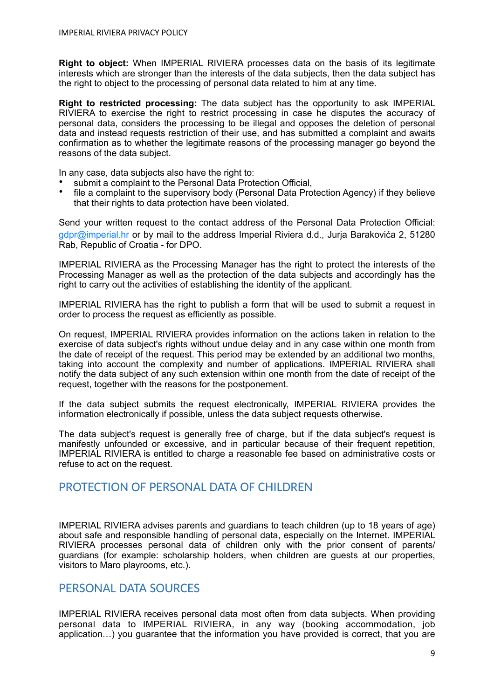**Right to object:** When IMPERIAL RIVIERA processes data on the basis of its legitimate interests which are stronger than the interests of the data subjects, then the data subject has the right to object to the processing of personal data related to him at any time.

**Right to restricted processing:** The data subject has the opportunity to ask IMPERIAL RIVIERA to exercise the right to restrict processing in case he disputes the accuracy of personal data, considers the processing to be illegal and opposes the deletion of personal data and instead requests restriction of their use, and has submitted a complaint and awaits confirmation as to whether the legitimate reasons of the processing manager go beyond the reasons of the data subject.

In any case, data subjects also have the right to:

- submit a complaint to the Personal Data Protection Official,
- file a complaint to the supervisory body (Personal Data Protection Agency) if they believe that their rights to data protection have been violated.

Send your written request to the contact address of the Personal Data Protection Official[:](mailto:%20dpo@valamar.com)  gdpr@imperial.hr or by mail to the address Imperial Riviera d.d., Jurja Barakovića 2, 51280 Rab, Republic of Croatia - for DPO.

IMPERIAL RIVIERA as the Processing Manager has the right to protect the interests of the Processing Manager as well as the protection of the data subjects and accordingly has the right to carry out the activities of establishing the identity of the applicant.

IMPERIAL RIVIERA has the right to publish a form that will be used to submit a request in order to process the request as efficiently as possible.

On request, IMPERIAL RIVIERA provides information on the actions taken in relation to the exercise of data subject's rights without undue delay and in any case within one month from the date of receipt of the request. This period may be extended by an additional two months, taking into account the complexity and number of applications. IMPERIAL RIVIERA shall notify the data subject of any such extension within one month from the date of receipt of the request, together with the reasons for the postponement.

If the data subject submits the request electronically, IMPERIAL RIVIERA provides the information electronically if possible, unless the data subject requests otherwise.

The data subject's request is generally free of charge, but if the data subject's request is manifestly unfounded or excessive, and in particular because of their frequent repetition, IMPERIAL RIVIERA is entitled to charge a reasonable fee based on administrative costs or refuse to act on the request.

#### <span id="page-8-0"></span>PROTECTION OF PERSONAL DATA OF CHILDREN

IMPERIAL RIVIERA advises parents and guardians to teach children (up to 18 years of age) about safe and responsible handling of personal data, especially on the Internet. IMPERIAL RIVIERA processes personal data of children only with the prior consent of parents/ guardians (for example: scholarship holders, when children are guests at our properties, visitors to Maro playrooms, etc.).

#### <span id="page-8-1"></span>PERSONAL DATA SOURCES

IMPERIAL RIVIERA receives personal data most often from data subjects. When providing personal data to IMPERIAL RIVIERA, in any way (booking accommodation, job application…) you guarantee that the information you have provided is correct, that you are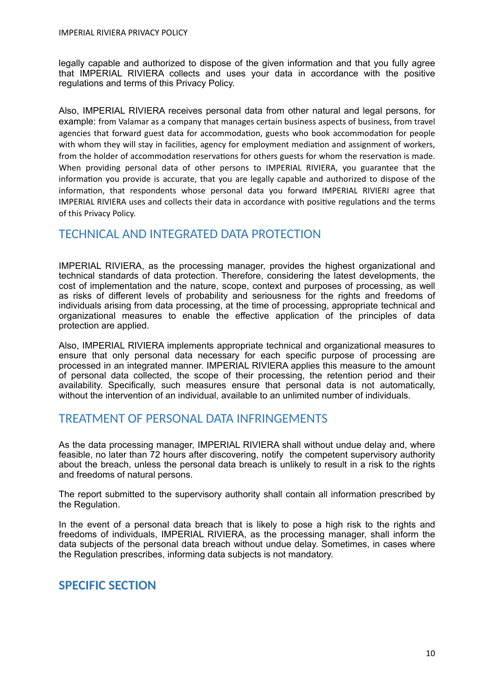legally capable and authorized to dispose of the given information and that you fully agree that IMPERIAL RIVIERA collects and uses your data in accordance with the positive regulations and terms of this Privacy Policy.

Also, IMPERIAL RIVIERA receives personal data from other natural and legal persons, for example: from Valamar as a company that manages certain business aspects of business, from travel agencies that forward guest data for accommodation, guests who book accommodation for people with whom they will stay in facilities, agency for employment mediation and assignment of workers, from the holder of accommodation reservations for others guests for whom the reservation is made. When providing personal data of other persons to IMPERIAL RIVIERA, you guarantee that the information you provide is accurate, that you are legally capable and authorized to dispose of the information, that respondents whose personal data you forward IMPERIAL RIVIERI agree that IMPERIAL RIVIERA uses and collects their data in accordance with positive regulations and the terms of this Privacy Policy.

#### <span id="page-9-0"></span>TECHNICAL AND INTEGRATED DATA PROTECTION

IMPERIAL RIVIERA, as the processing manager, provides the highest organizational and technical standards of data protection. Therefore, considering the latest developments, the cost of implementation and the nature, scope, context and purposes of processing, as well as risks of different levels of probability and seriousness for the rights and freedoms of individuals arising from data processing, at the time of processing, appropriate technical and organizational measures to enable the effective application of the principles of data protection are applied.

Also, IMPERIAL RIVIERA implements appropriate technical and organizational measures to ensure that only personal data necessary for each specific purpose of processing are processed in an integrated manner. IMPERIAL RIVIERA applies this measure to the amount of personal data collected, the scope of their processing, the retention period and their availability. Specifically, such measures ensure that personal data is not automatically, without the intervention of an individual, available to an unlimited number of individuals.

#### <span id="page-9-1"></span>TREATMENT OF PERSONAL DATA INFRINGEMENTS

As the data processing manager, IMPERIAL RIVIERA shall without undue delay and, where feasible, no later than 72 hours after discovering, notify the competent supervisory authority about the breach, unless the personal data breach is unlikely to result in a risk to the rights and freedoms of natural persons.

The report submitted to the supervisory authority shall contain all information prescribed by the Regulation.

In the event of a personal data breach that is likely to pose a high risk to the rights and freedoms of individuals, IMPERIAL RIVIERA, as the processing manager, shall inform the data subjects of the personal data breach without undue delay. Sometimes, in cases where the Regulation prescribes, informing data subjects is not mandatory.

#### <span id="page-9-2"></span>**SPECIFIC SECTION**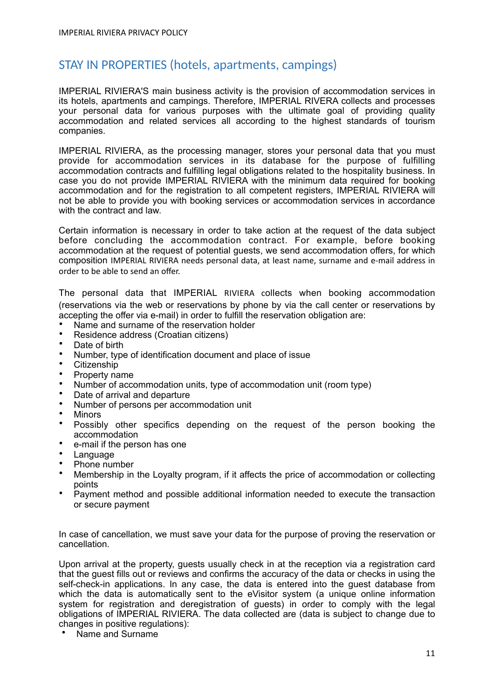# <span id="page-10-0"></span>STAY IN PROPERTIES (hotels, apartments, campings)

IMPERIAL RIVIERA'S main business activity is the provision of accommodation services in its hotels, apartments and campings. Therefore, IMPERIAL RIVERA collects and processes your personal data for various purposes with the ultimate goal of providing quality accommodation and related services all according to the highest standards of tourism companies.

IMPERIAL RIVIERA, as the processing manager, stores your personal data that you must provide for accommodation services in its database for the purpose of fulfilling accommodation contracts and fulfilling legal obligations related to the hospitality business. In case you do not provide IMPERIAL RIVIERA with the minimum data required for booking accommodation and for the registration to all competent registers, IMPERIAL RIVIERA will not be able to provide you with booking services or accommodation services in accordance with the contract and law.

Certain information is necessary in order to take action at the request of the data subject before concluding the accommodation contract. For example, before booking accommodation at the request of potential guests, we send accommodation offers, for which composition IMPERIAL RIVIERA needs personal data, at least name, surname and e-mail address in order to be able to send an offer.

The personal data that IMPERIAL RIVIERA collects when booking accommodation (reservations via the web or reservations by phone by via the call center or reservations by accepting the offer via e-mail) in order to fulfill the reservation obligation are:

- Name and surname of the reservation holder
- Residence address (Croatian citizens)
- Date of birth
- Number, type of identification document and place of issue
- Citizenship
- Property name
- Number of accommodation units, type of accommodation unit (room type)
- Date of arrival and departure
- Number of persons per accommodation unit
- Minors<br>• Possibl
- Possibly other specifics depending on the request of the person booking the accommodation
- e-mail if the person has one
- **Language**
- Phone number
- Membership in the Loyalty program, if it affects the price of accommodation or collecting points
- Payment method and possible additional information needed to execute the transaction or secure payment

In case of cancellation, we must save your data for the purpose of proving the reservation or cancellation.

Upon arrival at the property, guests usually check in at the reception via a registration card that the guest fills out or reviews and confirms the accuracy of the data or checks in using the self-check-in applications. In any case, the data is entered into the guest database from which the data is automatically sent to the eVisitor system (a unique online information system for registration and deregistration of guests) in order to comply with the legal obligations of IMPERIAL RIVIERA. The data collected are (data is subject to change due to changes in positive regulations):

• Name and Surname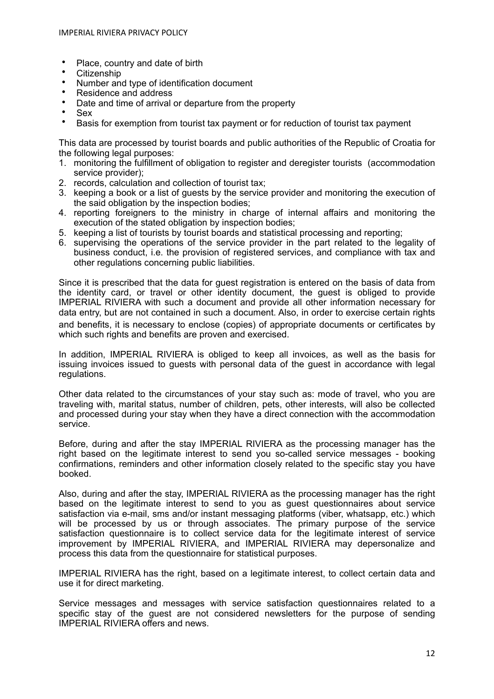- Place, country and date of birth
- Citizenship
- Number and type of identification document
- Residence and address
- Date and time of arrival or departure from the property
- Sex<br>• Rasi
- Basis for exemption from tourist tax payment or for reduction of tourist tax payment

This data are processed by tourist boards and public authorities of the Republic of Croatia for the following legal purposes:

- 1. monitoring the fulfillment of obligation to register and deregister tourists (accommodation service provider);
- 2. records, calculation and collection of tourist tax;
- 3. keeping a book or a list of guests by the service provider and monitoring the execution of the said obligation by the inspection bodies;
- 4. reporting foreigners to the ministry in charge of internal affairs and monitoring the execution of the stated obligation by inspection bodies;
- 5. keeping a list of tourists by tourist boards and statistical processing and reporting;
- 6. supervising the operations of the service provider in the part related to the legality of business conduct, i.e. the provision of registered services, and compliance with tax and other regulations concerning public liabilities.

Since it is prescribed that the data for guest registration is entered on the basis of data from the identity card, or travel or other identity document, the guest is obliged to provide IMPERIAL RIVIERA with such a document and provide all other information necessary for data entry, but are not contained in such a document. Also, in order to exercise certain rights and benefits, it is necessary to enclose (copies) of appropriate documents or certificates by which such rights and benefits are proven and exercised.

In addition, IMPERIAL RIVIERA is obliged to keep all invoices, as well as the basis for issuing invoices issued to guests with personal data of the guest in accordance with legal regulations.

Other data related to the circumstances of your stay such as: mode of travel, who you are traveling with, marital status, number of children, pets, other interests, will also be collected and processed during your stay when they have a direct connection with the accommodation service.

Before, during and after the stay IMPERIAL RIVIERA as the processing manager has the right based on the legitimate interest to send you so-called service messages - booking confirmations, reminders and other information closely related to the specific stay you have booked.

Also, during and after the stay, IMPERIAL RIVIERA as the processing manager has the right based on the legitimate interest to send to you as guest questionnaires about service satisfaction via e-mail, sms and/or instant messaging platforms (viber, whatsapp, etc.) which will be processed by us or through associates. The primary purpose of the service satisfaction questionnaire is to collect service data for the legitimate interest of service improvement by IMPERIAL RIVIERA, and IMPERIAL RIVIERA may depersonalize and process this data from the questionnaire for statistical purposes.

IMPERIAL RIVIERA has the right, based on a legitimate interest, to collect certain data and use it for direct marketing.

Service messages and messages with service satisfaction questionnaires related to a specific stay of the guest are not considered newsletters for the purpose of sending IMPERIAL RIVIERA offers and news.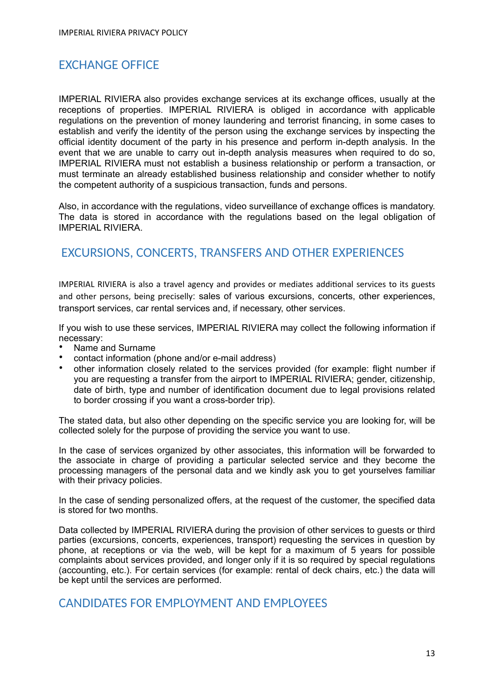# <span id="page-12-0"></span>EXCHANGE OFFICE

IMPERIAL RIVIERA also provides exchange services at its exchange offices, usually at the receptions of properties. IMPERIAL RIVIERA is obliged in accordance with applicable regulations on the prevention of money laundering and terrorist financing, in some cases to establish and verify the identity of the person using the exchange services by inspecting the official identity document of the party in his presence and perform in-depth analysis. In the event that we are unable to carry out in-depth analysis measures when required to do so, IMPERIAL RIVIERA must not establish a business relationship or perform a transaction, or must terminate an already established business relationship and consider whether to notify the competent authority of a suspicious transaction, funds and persons.

Also, in accordance with the regulations, video surveillance of exchange offices is mandatory. The data is stored in accordance with the regulations based on the legal obligation of IMPERIAL RIVIERA.

# <span id="page-12-1"></span>EXCURSIONS, CONCERTS, TRANSFERS AND OTHER EXPERIENCES

IMPERIAL RIVIERA is also a travel agency and provides or mediates additional services to its guests and other persons, being preciselly: sales of various excursions, concerts, other experiences, transport services, car rental services and, if necessary, other services.

If you wish to use these services, IMPERIAL RIVIERA may collect the following information if necessary:

- Name and Surname
- contact information (phone and/or e-mail address)
- other information closely related to the services provided (for example: flight number if you are requesting a transfer from the airport to IMPERIAL RIVIERA; gender, citizenship, date of birth, type and number of identification document due to legal provisions related to border crossing if you want a cross-border trip).

The stated data, but also other depending on the specific service you are looking for, will be collected solely for the purpose of providing the service you want to use.

In the case of services organized by other associates, this information will be forwarded to the associate in charge of providing a particular selected service and they become the processing managers of the personal data and we kindly ask you to get yourselves familiar with their privacy policies.

In the case of sending personalized offers, at the request of the customer, the specified data is stored for two months.

Data collected by IMPERIAL RIVIERA during the provision of other services to guests or third parties (excursions, concerts, experiences, transport) requesting the services in question by phone, at receptions or via the web, will be kept for a maximum of 5 years for possible complaints about services provided, and longer only if it is so required by special regulations (accounting, etc.). For certain services (for example: rental of deck chairs, etc.) the data will be kept until the services are performed.

#### <span id="page-12-2"></span>CANDIDATES FOR EMPLOYMENT AND EMPLOYEES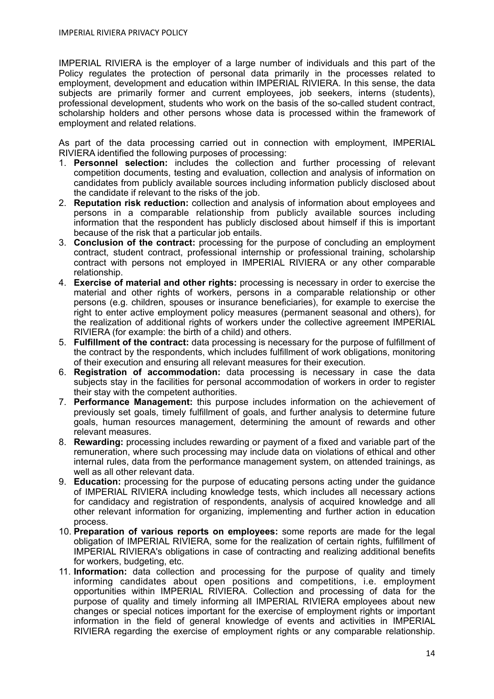IMPERIAL RIVIERA is the employer of a large number of individuals and this part of the Policy regulates the protection of personal data primarily in the processes related to employment, development and education within IMPERIAL RIVIERA. In this sense, the data subjects are primarily former and current employees, job seekers, interns (students), professional development, students who work on the basis of the so-called student contract, scholarship holders and other persons whose data is processed within the framework of employment and related relations.

As part of the data processing carried out in connection with employment, IMPERIAL RIVIERA identified the following purposes of processing:

- 1. **Personnel selection:** includes the collection and further processing of relevant competition documents, testing and evaluation, collection and analysis of information on candidates from publicly available sources including information publicly disclosed about the candidate if relevant to the risks of the job.
- 2. **Reputation risk reduction:** collection and analysis of information about employees and persons in a comparable relationship from publicly available sources including information that the respondent has publicly disclosed about himself if this is important because of the risk that a particular job entails.
- 3. **Conclusion of the contract:** processing for the purpose of concluding an employment contract, student contract, professional internship or professional training, scholarship contract with persons not employed in IMPERIAL RIVIERA or any other comparable relationship.
- 4. **Exercise of material and other rights:** processing is necessary in order to exercise the material and other rights of workers, persons in a comparable relationship or other persons (e.g. children, spouses or insurance beneficiaries), for example to exercise the right to enter active employment policy measures (permanent seasonal and others), for the realization of additional rights of workers under the collective agreement IMPERIAL RIVIERA (for example: the birth of a child) and others.
- 5. **Fulfillment of the contract:** data processing is necessary for the purpose of fulfillment of the contract by the respondents, which includes fulfillment of work obligations, monitoring of their execution and ensuring all relevant measures for their execution.
- 6. **Registration of accommodation:** data processing is necessary in case the data subjects stay in the facilities for personal accommodation of workers in order to register their stay with the competent authorities.
- 7. **Performance Management:** this purpose includes information on the achievement of previously set goals, timely fulfillment of goals, and further analysis to determine future goals, human resources management, determining the amount of rewards and other relevant measures.
- 8. **Rewarding:** processing includes rewarding or payment of a fixed and variable part of the remuneration, where such processing may include data on violations of ethical and other internal rules, data from the performance management system, on attended trainings, as well as all other relevant data.
- 9. **Education:** processing for the purpose of educating persons acting under the guidance of IMPERIAL RIVIERA including knowledge tests, which includes all necessary actions for candidacy and registration of respondents, analysis of acquired knowledge and all other relevant information for organizing, implementing and further action in education process.
- 10. **Preparation of various reports on employees:** some reports are made for the legal obligation of IMPERIAL RIVIERA, some for the realization of certain rights, fulfillment of IMPERIAL RIVIERA's obligations in case of contracting and realizing additional benefits for workers, budgeting, etc.
- 11. **Information:** data collection and processing for the purpose of quality and timely informing candidates about open positions and competitions, i.e. employment opportunities within IMPERIAL RIVIERA. Collection and processing of data for the purpose of quality and timely informing all IMPERIAL RIVIERA employees about new changes or special notices important for the exercise of employment rights or important information in the field of general knowledge of events and activities in IMPERIAL RIVIERA regarding the exercise of employment rights or any comparable relationship.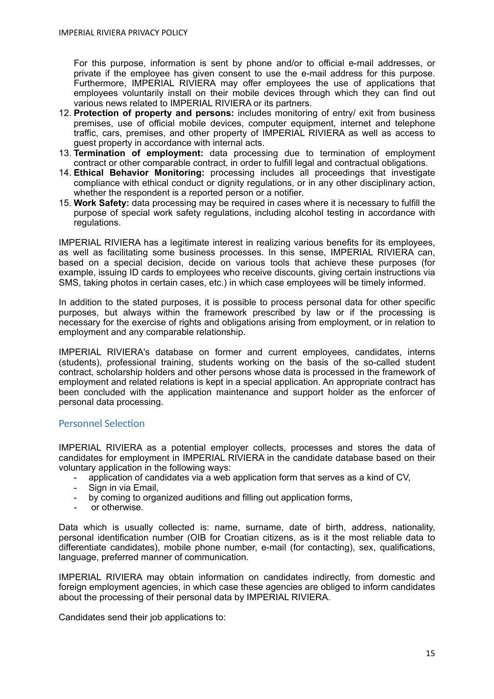For this purpose, information is sent by phone and/or to official e-mail addresses, or private if the employee has given consent to use the e-mail address for this purpose. Furthermore, IMPERIAL RIVIERA may offer employees the use of applications that employees voluntarily install on their mobile devices through which they can find out various news related to IMPERIAL RIVIERA or its partners.

- 12. **Protection of property and persons:** includes monitoring of entry/ exit from business premises, use of official mobile devices, computer equipment, internet and telephone traffic, cars, premises, and other property of IMPERIAL RIVIERA as well as access to guest property in accordance with internal acts.
- 13. **Termination of employment:** data processing due to termination of employment contract or other comparable contract, in order to fulfill legal and contractual obligations.
- 14. **Ethical Behavior Monitoring:** processing includes all proceedings that investigate compliance with ethical conduct or dignity regulations, or in any other disciplinary action, whether the respondent is a reported person or a notifier.
- 15. **Work Safety:** data processing may be required in cases where it is necessary to fulfill the purpose of special work safety regulations, including alcohol testing in accordance with regulations.

IMPERIAL RIVIERA has a legitimate interest in realizing various benefits for its employees, as well as facilitating some business processes. In this sense, IMPERIAL RIVIERA can, based on a special decision, decide on various tools that achieve these purposes (for example, issuing ID cards to employees who receive discounts, giving certain instructions via SMS, taking photos in certain cases, etc.) in which case employees will be timely informed.

In addition to the stated purposes, it is possible to process personal data for other specific purposes, but always within the framework prescribed by law or if the processing is necessary for the exercise of rights and obligations arising from employment, or in relation to employment and any comparable relationship.

IMPERIAL RIVIERA's database on former and current employees, candidates, interns (students), professional training, students working on the basis of the so-called student contract, scholarship holders and other persons whose data is processed in the framework of employment and related relations is kept in a special application. An appropriate contract has been concluded with the application maintenance and support holder as the enforcer of personal data processing.

#### <span id="page-14-0"></span>Personnel Selection

IMPERIAL RIVIERA as a potential employer collects, processes and stores the data of candidates for employment in IMPERIAL RIVIERA in the candidate database based on their voluntary application in the following ways:

- application of candidates via a web application form that serves as a kind of CV,<br>- Sign in via Email
- Sign in via Email.
- by coming to organized auditions and filling out application forms,
- or otherwise.

Data which is usually collected is: name, surname, date of birth, address, nationality, personal identification number (OIB for Croatian citizens, as is it the most reliable data to differentiate candidates), mobile phone number, e-mail (for contacting), sex, qualifications, language, preferred manner of communication.

IMPERIAL RIVIERA may obtain information on candidates indirectly, from domestic and foreign employment agencies, in which case these agencies are obliged to inform candidates about the processing of their personal data by IMPERIAL RIVIERA.

Candidates send their job applications to: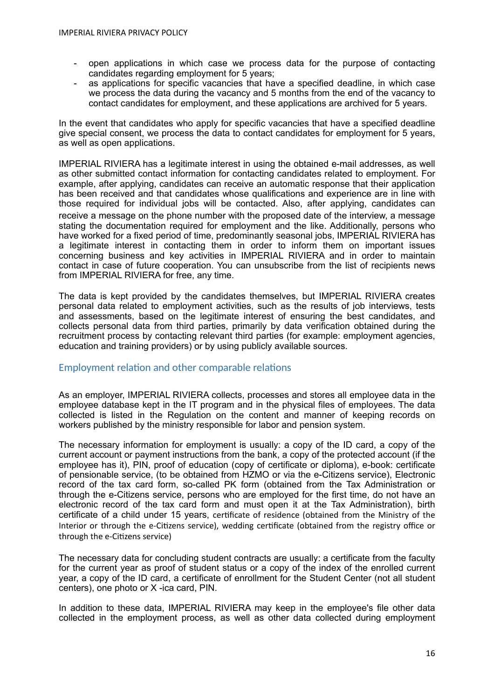- open applications in which case we process data for the purpose of contacting candidates regarding employment for 5 years;
- as applications for specific vacancies that have a specified deadline, in which case we process the data during the vacancy and 5 months from the end of the vacancy to contact candidates for employment, and these applications are archived for 5 years.

In the event that candidates who apply for specific vacancies that have a specified deadline give special consent, we process the data to contact candidates for employment for 5 years, as well as open applications.

IMPERIAL RIVIERA has a legitimate interest in using the obtained e-mail addresses, as well as other submitted contact information for contacting candidates related to employment. For example, after applying, candidates can receive an automatic response that their application has been received and that candidates whose qualifications and experience are in line with those required for individual jobs will be contacted. Also, after applying, candidates can receive a message on the phone number with the proposed date of the interview, a message stating the documentation required for employment and the like. Additionally, persons who have worked for a fixed period of time, predominantly seasonal jobs, IMPERIAL RIVIERA has a legitimate interest in contacting them in order to inform them on important issues concerning business and key activities in IMPERIAL RIVIERA and in order to maintain contact in case of future cooperation. You can unsubscribe from the list of recipients news from IMPERIAL RIVIERA for free, any time.

The data is kept provided by the candidates themselves, but IMPERIAL RIVIERA creates personal data related to employment activities, such as the results of job interviews, tests and assessments, based on the legitimate interest of ensuring the best candidates, and collects personal data from third parties, primarily by data verification obtained during the recruitment process by contacting relevant third parties (for example: employment agencies, education and training providers) or by using publicly available sources.

#### <span id="page-15-0"></span>Employment relation and other comparable relations

As an employer, IMPERIAL RIVIERA collects, processes and stores all employee data in the employee database kept in the IT program and in the physical files of employees. The data collected is listed in the Regulation on the content and manner of keeping records on workers published by the ministry responsible for labor and pension system.

The necessary information for employment is usually: a copy of the ID card, a copy of the current account or payment instructions from the bank, a copy of the protected account (if the employee has it), PIN, proof of education (copy of certificate or diploma), e-book: certificate of pensionable service, (to be obtained from HZMO or via the e-Citizens service), Electronic record of the tax card form, so-called PK form (obtained from the Tax Administration or through the e-Citizens service, persons who are employed for the first time, do not have an electronic record of the tax card form and must open it at the Tax Administration), birth certificate of a child under 15 years, certificate of residence (obtained from the Ministry of the Interior or through the e-Citizens service), wedding certificate (obtained from the registry office or through the e-Citizens service)

The necessary data for concluding student contracts are usually: a certificate from the faculty for the current year as proof of student status or a copy of the index of the enrolled current year, a copy of the ID card, a certificate of enrollment for the Student Center (not all student centers), one photo or X -ica card, PIN.

In addition to these data, IMPERIAL RIVIERA may keep in the employee's file other data collected in the employment process, as well as other data collected during employment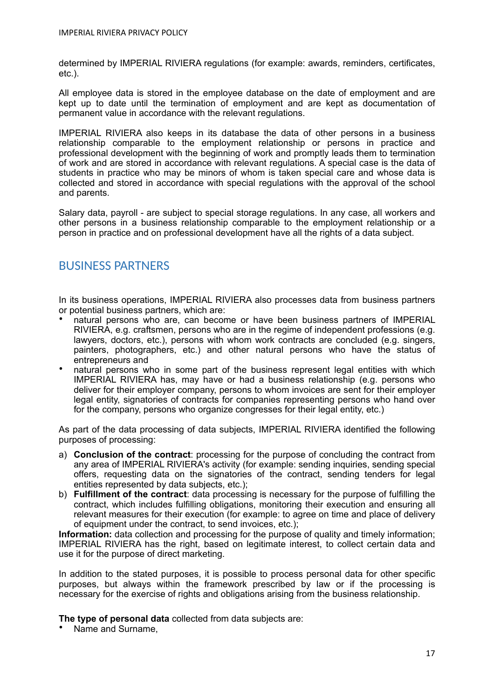determined by IMPERIAL RIVIERA regulations (for example: awards, reminders, certificates, etc.).

All employee data is stored in the employee database on the date of employment and are kept up to date until the termination of employment and are kept as documentation of permanent value in accordance with the relevant regulations.

IMPERIAL RIVIERA also keeps in its database the data of other persons in a business relationship comparable to the employment relationship or persons in practice and professional development with the beginning of work and promptly leads them to termination of work and are stored in accordance with relevant regulations. A special case is the data of students in practice who may be minors of whom is taken special care and whose data is collected and stored in accordance with special regulations with the approval of the school and parents.

Salary data, payroll - are subject to special storage regulations. In any case, all workers and other persons in a business relationship comparable to the employment relationship or a person in practice and on professional development have all the rights of a data subject.

# <span id="page-16-0"></span>BUSINESS PARTNERS

In its business operations, IMPERIAL RIVIERA also processes data from business partners or potential business partners, which are:

- natural persons who are, can become or have been business partners of IMPERIAL RIVIERA, e.g. craftsmen, persons who are in the regime of independent professions (e.g. lawyers, doctors, etc.), persons with whom work contracts are concluded (e.g. singers, painters, photographers, etc.) and other natural persons who have the status of entrepreneurs and
- natural persons who in some part of the business represent legal entities with which IMPERIAL RIVIERA has, may have or had a business relationship (e.g. persons who deliver for their employer company, persons to whom invoices are sent for their employer legal entity, signatories of contracts for companies representing persons who hand over for the company, persons who organize congresses for their legal entity, etc.)

As part of the data processing of data subjects, IMPERIAL RIVIERA identified the following purposes of processing:

- a) **Conclusion of the contract**: processing for the purpose of concluding the contract from any area of IMPERIAL RIVIERA's activity (for example: sending inquiries, sending special offers, requesting data on the signatories of the contract, sending tenders for legal entities represented by data subjects, etc.);
- b) **Fulfillment of the contract**: data processing is necessary for the purpose of fulfilling the contract, which includes fulfilling obligations, monitoring their execution and ensuring all relevant measures for their execution (for example: to agree on time and place of delivery of equipment under the contract, to send invoices, etc.);

**Information:** data collection and processing for the purpose of quality and timely information; IMPERIAL RIVIERA has the right, based on legitimate interest, to collect certain data and use it for the purpose of direct marketing.

In addition to the stated purposes, it is possible to process personal data for other specific purposes, but always within the framework prescribed by law or if the processing is necessary for the exercise of rights and obligations arising from the business relationship.

**The type of personal data** collected from data subjects are:

• Name and Surname,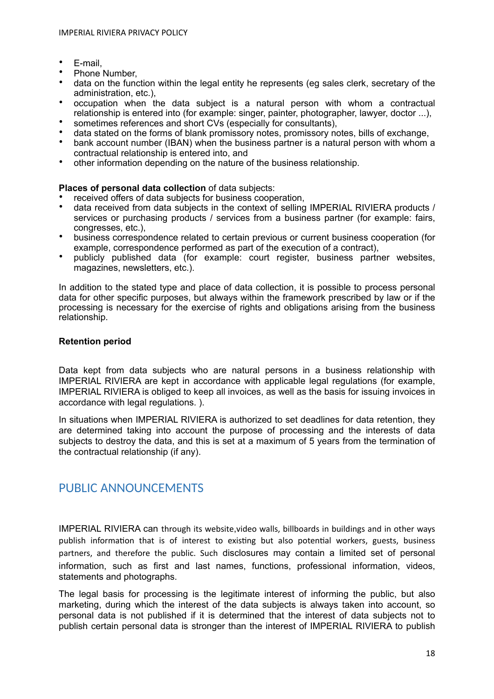- E-mail,
- Phone Number.
- data on the function within the legal entity he represents (eg sales clerk, secretary of the administration, etc.),
- occupation when the data subject is a natural person with whom a contractual relationship is entered into (for example: singer, painter, photographer, lawyer, doctor ...),
- sometimes references and short CVs (especially for consultants),
- data stated on the forms of blank promissory notes, promissory notes, bills of exchange,
- bank account number (IBAN) when the business partner is a natural person with whom a contractual relationship is entered into, and
- other information depending on the nature of the business relationship.

#### **Places of personal data collection** of data subjects:

- received offers of data subjects for business cooperation.
- data received from data subjects in the context of selling IMPERIAL RIVIERA products / services or purchasing products / services from a business partner (for example: fairs, congresses, etc.),
- business correspondence related to certain previous or current business cooperation (for example, correspondence performed as part of the execution of a contract),
- publicly published data (for example: court register, business partner websites, magazines, newsletters, etc.).

In addition to the stated type and place of data collection, it is possible to process personal data for other specific purposes, but always within the framework prescribed by law or if the processing is necessary for the exercise of rights and obligations arising from the business relationship.

#### <span id="page-17-0"></span>**Retention period**

Data kept from data subjects who are natural persons in a business relationship with IMPERIAL RIVIERA are kept in accordance with applicable legal regulations (for example, IMPERIAL RIVIERA is obliged to keep all invoices, as well as the basis for issuing invoices in accordance with legal regulations. ).

In situations when IMPERIAL RIVIERA is authorized to set deadlines for data retention, they are determined taking into account the purpose of processing and the interests of data subjects to destroy the data, and this is set at a maximum of 5 years from the termination of the contractual relationship (if any).

# <span id="page-17-1"></span>PUBLIC ANNOUNCEMENTS

IMPERIAL RIVIERA can through its website,video walls, billboards in buildings and in other ways publish information that is of interest to existing but also potential workers, guests, business partners, and therefore the public. Such disclosures may contain a limited set of personal information, such as first and last names, functions, professional information, videos, statements and photographs.

The legal basis for processing is the legitimate interest of informing the public, but also marketing, during which the interest of the data subjects is always taken into account, so personal data is not published if it is determined that the interest of data subjects not to publish certain personal data is stronger than the interest of IMPERIAL RIVIERA to publish